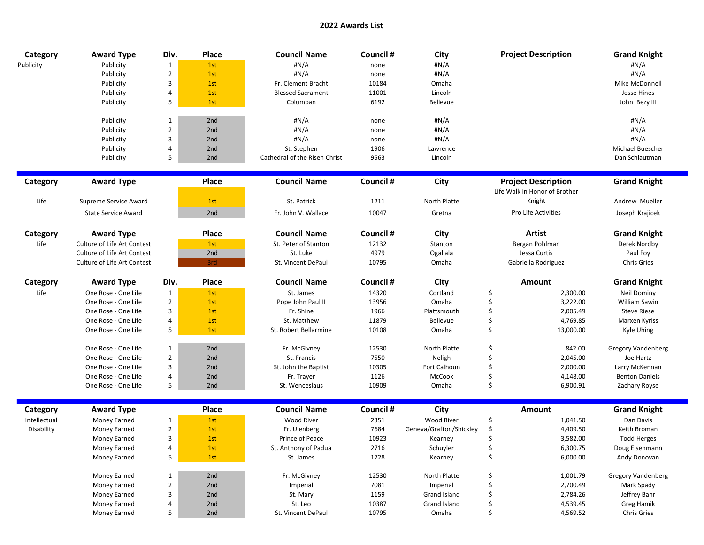| Category     | <b>Award Type</b>           | Div.           | Place | <b>Council Name</b>           | Council # | City                    | <b>Project Description</b>    | <b>Grand Knight</b>       |
|--------------|-----------------------------|----------------|-------|-------------------------------|-----------|-------------------------|-------------------------------|---------------------------|
| Publicity    | Publicity                   | $\mathbf{1}$   | 1st   | #N/A                          | none      | #N/A                    |                               | #N/A                      |
|              | Publicity                   | $\overline{2}$ | 1st   | #N/A                          | none      | #N/A                    |                               | #N/A                      |
|              | Publicity                   | $\mathsf 3$    | 1st   | Fr. Clement Bracht            | 10184     | Omaha                   |                               | Mike McDonnell            |
|              | Publicity                   | 4              | 1st   | <b>Blessed Sacrament</b>      | 11001     | Lincoln                 |                               | Jesse Hines               |
|              | Publicity                   | 5              | 1st   | Columban                      | 6192      | Bellevue                |                               | John Bezy III             |
|              | Publicity                   | $\mathbf{1}$   | 2nd   | #N/A                          | none      | #N/A                    |                               | #N/A                      |
|              | Publicity                   | $\overline{2}$ | 2nd   | #N/A                          | none      | #N/A                    |                               | #N/A                      |
|              | Publicity                   | 3              | 2nd   | #N/A                          | none      | #N/A                    |                               | #N/A                      |
|              | Publicity                   | 4              | 2nd   | St. Stephen                   | 1906      | Lawrence                |                               | Michael Buescher          |
|              | Publicity                   | 5              | 2nd   | Cathedral of the Risen Christ | 9563      | Lincoln                 |                               | Dan Schlautman            |
| Category     | <b>Award Type</b>           |                | Place | <b>Council Name</b>           | Council # | City                    | <b>Project Description</b>    | <b>Grand Knight</b>       |
|              |                             |                |       |                               |           |                         | Life Walk in Honor of Brother |                           |
| Life         | Supreme Service Award       |                | 1st   | St. Patrick                   | 1211      | North Platte            | Knight                        | Andrew Mueller            |
|              | <b>State Service Award</b>  |                | 2nd   | Fr. John V. Wallace           | 10047     | Gretna                  | Pro Life Activities           | Joseph Krajicek           |
| Category     | <b>Award Type</b>           |                | Place | <b>Council Name</b>           | Council # | City                    | <b>Artist</b>                 | <b>Grand Knight</b>       |
| Life         | Culture of Life Art Contest |                | 1st   | St. Peter of Stanton          | 12132     | Stanton                 | Bergan Pohlman                | Derek Nordby              |
|              | Culture of Life Art Contest |                | 2nd   | St. Luke                      | 4979      | Ogallala                | Jessa Curtis                  | Paul Foy                  |
|              | Culture of Life Art Contest |                | 3rd   | St. Vincent DePaul            | 10795     | Omaha                   | Gabriella Rodriguez           | <b>Chris Gries</b>        |
| Category     | <b>Award Type</b>           | Div.           | Place | <b>Council Name</b>           | Council # | City                    | Amount                        | <b>Grand Knight</b>       |
| Life         | One Rose - One Life         | $\mathbf{1}$   | 1st   | St. James                     | 14320     | Cortland                | \$<br>2,300.00                | Neil Dominy               |
|              | One Rose - One Life         | $\overline{2}$ | 1st   | Pope John Paul II             | 13956     | Omaha                   | \$<br>3,222.00                | William Sawin             |
|              | One Rose - One Life         | 3              | 1st   | Fr. Shine                     | 1966      | Plattsmouth             | \$<br>2,005.49                | <b>Steve Riese</b>        |
|              | One Rose - One Life         | $\sqrt{4}$     | 1st   | St. Matthew                   | 11879     | Bellevue                | \$<br>4,769.85                | Marxen Kyriss             |
|              | One Rose - One Life         | 5              | 1st   | St. Robert Bellarmine         | 10108     | Omaha                   | \$<br>13,000.00               | Kyle Uhing                |
|              | One Rose - One Life         | $\mathbf{1}$   | 2nd   | Fr. McGivney                  | 12530     | North Platte            | \$<br>842.00                  | <b>Gregory Vandenberg</b> |
|              | One Rose - One Life         | $\overline{2}$ | 2nd   | St. Francis                   | 7550      | Neligh                  | \$<br>2,045.00                | Joe Hartz                 |
|              | One Rose - One Life         | 3              | 2nd   | St. John the Baptist          | 10305     | Fort Calhoun            | \$<br>2,000.00                | Larry McKennan            |
|              | One Rose - One Life         | 4              | 2nd   | Fr. Trayer                    | 1126      | McCook                  | \$<br>4,148.00                | <b>Benton Daniels</b>     |
|              | One Rose - One Life         | 5              | 2nd   | St. Wenceslaus                | 10909     | Omaha                   | \$<br>6,900.91                | Zachary Royse             |
| Category     | <b>Award Type</b>           |                | Place | <b>Council Name</b>           | Council # | City                    | Amount                        | <b>Grand Knight</b>       |
| Intellectual | Money Earned                | $\mathbf{1}$   | 1st   | Wood River                    | 2351      | Wood River              | \$<br>1,041.50                | Dan Davis                 |
| Disability   | Money Earned                | $\overline{2}$ | 1st   | Fr. Ulenberg                  | 7684      | Geneva/Grafton/Shickley | \$<br>4,409.50                | Keith Broman              |
|              | Money Earned                | 3              | 1st   | Prince of Peace               | 10923     | Kearney                 | \$<br>3,582.00                | <b>Todd Herges</b>        |
|              | Money Earned                | 4              | $1st$ | St. Anthony of Padua          | 2716      | Schuyler                | \$<br>6,300.75                | Doug Eisenmann            |
|              | Money Earned                | 5              | 1st   | St. James                     | 1728      | Kearney                 | \$<br>6,000.00                | Andy Donovan              |
|              | Money Earned                | $\mathbf{1}$   | 2nd   | Fr. McGivney                  | 12530     | North Platte            | \$<br>1,001.79                | <b>Gregory Vandenberg</b> |
|              | Money Earned                | $\overline{2}$ | 2nd   | Imperial                      | 7081      | Imperial                | \$<br>2,700.49                | Mark Spady                |
|              | Money Earned                | $\mathbf{3}$   | 2nd   | St. Mary                      | 1159      | Grand Island            | \$<br>2,784.26                | Jeffrey Bahr              |
|              | Money Earned                | 4              | 2nd   | St. Leo                       | 10387     | Grand Island            | \$<br>4,539.45                | <b>Greg Hamik</b>         |
|              | Money Earned                | 5              | 2nd   | St. Vincent DePaul            | 10795     | Omaha                   | \$<br>4,569.52                | Chris Gries               |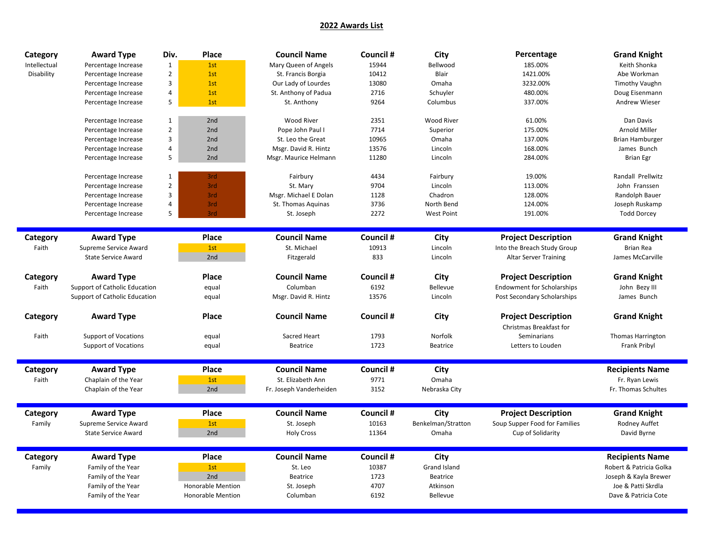| Category     | <b>Award Type</b>             | Div.           | Place                    | <b>Council Name</b>     | Council # | City                | Percentage                        | <b>Grand Knight</b>      |
|--------------|-------------------------------|----------------|--------------------------|-------------------------|-----------|---------------------|-----------------------------------|--------------------------|
| Intellectual | Percentage Increase           | $\mathbf{1}$   | 1st                      | Mary Queen of Angels    | 15944     | Bellwood            | 185.00%                           | Keith Shonka             |
| Disability   | Percentage Increase           | $\overline{2}$ | 1st                      | St. Francis Borgia      | 10412     | Blair               | 1421.00%                          | Abe Workman              |
|              | Percentage Increase           | $\mathsf 3$    | 1st                      | Our Lady of Lourdes     | 13080     | Omaha               | 3232.00%                          | <b>Timothy Vaughn</b>    |
|              | Percentage Increase           | 4              | 1st                      | St. Anthony of Padua    | 2716      | Schuyler            | 480.00%                           | Doug Eisenmann           |
|              | Percentage Increase           | 5              | 1st                      | St. Anthony             | 9264      | Columbus            | 337.00%                           | Andrew Wieser            |
|              |                               |                |                          |                         |           |                     |                                   |                          |
|              | Percentage Increase           | $\mathbf{1}$   | 2nd                      | <b>Wood River</b>       | 2351      | <b>Wood River</b>   | 61.00%                            | Dan Davis                |
|              | Percentage Increase           | $\sqrt{2}$     | 2nd                      | Pope John Paul I        | 7714      | Superior            | 175.00%                           | Arnold Miller            |
|              | Percentage Increase           | $\overline{3}$ | 2nd                      | St. Leo the Great       | 10965     | Omaha               | 137.00%                           | <b>Brian Hamburger</b>   |
|              | Percentage Increase           | 4              | 2nd                      | Msgr. David R. Hintz    | 13576     | Lincoln             | 168.00%                           | James Bunch              |
|              | Percentage Increase           | 5              | 2nd                      | Msgr. Maurice Helmann   | 11280     | Lincoln             | 284.00%                           | <b>Brian Egr</b>         |
|              | Percentage Increase           | $\mathbf{1}$   | 3rd                      | Fairbury                | 4434      | Fairbury            | 19.00%                            | Randall Prellwitz        |
|              | Percentage Increase           | $\overline{2}$ | 3rd                      | St. Mary                | 9704      | Lincoln             | 113.00%                           | John Franssen            |
|              | Percentage Increase           | 3              | 3rd                      | Msgr. Michael E Dolan   | 1128      | Chadron             | 128.00%                           | Randolph Bauer           |
|              | Percentage Increase           | 4              | 3rd                      | St. Thomas Aquinas      | 3736      | North Bend          | 124.00%                           | Joseph Ruskamp           |
|              | Percentage Increase           | 5              | 3rd                      | St. Joseph              | 2272      | <b>West Point</b>   | 191.00%                           | <b>Todd Dorcey</b>       |
|              |                               |                |                          |                         |           |                     |                                   |                          |
| Category     | <b>Award Type</b>             |                | Place                    | <b>Council Name</b>     | Council # | City                | <b>Project Description</b>        | <b>Grand Knight</b>      |
| Faith        | Supreme Service Award         |                | 1st                      | St. Michael             | 10913     | Lincoln             | Into the Breach Study Group       | <b>Brian Rea</b>         |
|              | <b>State Service Award</b>    |                | 2nd                      | Fitzgerald              | 833       | Lincoln             | <b>Altar Server Training</b>      | James McCarville         |
|              |                               |                |                          |                         |           |                     |                                   |                          |
| Category     | <b>Award Type</b>             |                | <b>Place</b>             | <b>Council Name</b>     | Council # | City                | <b>Project Description</b>        | <b>Grand Knight</b>      |
| Faith        | Support of Catholic Education |                | equal                    | Columban                | 6192      | Bellevue            | <b>Endowment for Scholarships</b> | John Bezy III            |
|              | Support of Catholic Education |                | equal                    | Msgr. David R. Hintz    | 13576     | Lincoln             | Post Secondary Scholarships       | James Bunch              |
|              |                               |                |                          |                         |           |                     |                                   |                          |
| Category     | <b>Award Type</b>             |                | <b>Place</b>             | <b>Council Name</b>     | Council # | City                | <b>Project Description</b>        | <b>Grand Knight</b>      |
|              |                               |                |                          |                         |           |                     | Christmas Breakfast for           |                          |
| Faith        | <b>Support of Vocations</b>   |                | equal                    | Sacred Heart            | 1793      | Norfolk             | Seminarians                       | <b>Thomas Harrington</b> |
|              | <b>Support of Vocations</b>   |                | equal                    | Beatrice                | 1723      | Beatrice            | Letters to Louden                 | Frank Pribyl             |
|              | <b>Award Type</b>             |                | Place                    | <b>Council Name</b>     | Council # | City                |                                   | <b>Recipients Name</b>   |
| Category     |                               |                |                          |                         |           |                     |                                   |                          |
| Faith        | Chaplain of the Year          |                | 1st                      | St. Elizabeth Ann       | 9771      | Omaha               |                                   | Fr. Ryan Lewis           |
|              | Chaplain of the Year          |                | 2nd                      | Fr. Joseph Vanderheiden | 3152      | Nebraska City       |                                   | Fr. Thomas Schultes      |
| Category     | <b>Award Type</b>             |                | Place                    | <b>Council Name</b>     | Council # | City                | <b>Project Description</b>        | <b>Grand Knight</b>      |
| Family       | Supreme Service Award         |                | 1st                      | St. Joseph              | 10163     | Benkelman/Stratton  | Soup Supper Food for Families     | <b>Rodney Auffet</b>     |
|              | <b>State Service Award</b>    |                | 2nd                      | <b>Holy Cross</b>       | 11364     | Omaha               | Cup of Solidarity                 |                          |
|              |                               |                |                          |                         |           |                     |                                   | David Byrne              |
| Category     | <b>Award Type</b>             |                | Place                    | <b>Council Name</b>     | Council # | City                |                                   | <b>Recipients Name</b>   |
| Family       | Family of the Year            |                | 1st                      | St. Leo                 | 10387     | <b>Grand Island</b> |                                   | Robert & Patricia Golka  |
|              | Family of the Year            |                | 2nd                      | Beatrice                | 1723      | <b>Beatrice</b>     |                                   | Joseph & Kayla Brewer    |
|              | Family of the Year            |                | <b>Honorable Mention</b> | St. Joseph              | 4707      | Atkinson            |                                   | Joe & Patti Skrdla       |
|              | Family of the Year            |                | <b>Honorable Mention</b> | Columban                | 6192      | Bellevue            |                                   | Dave & Patricia Cote     |
|              |                               |                |                          |                         |           |                     |                                   |                          |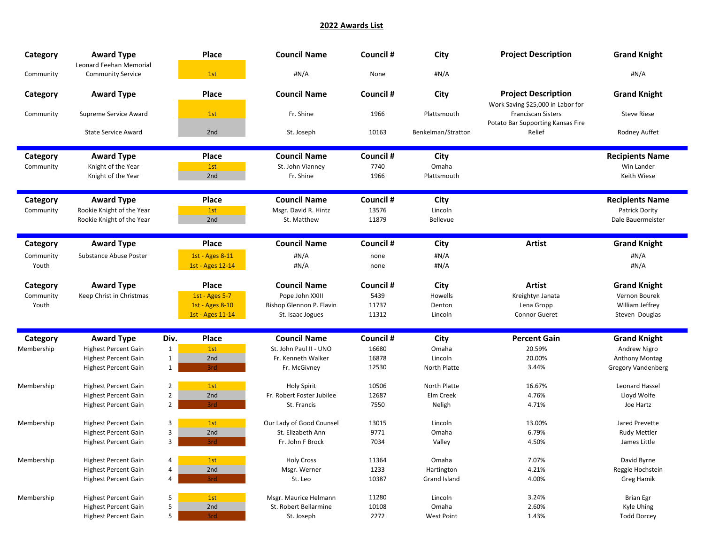| Category   | <b>Award Type</b>                                   |                | Place            | <b>Council Name</b>       | Council # | City                | <b>Project Description</b>                                                                          | <b>Grand Knight</b>       |
|------------|-----------------------------------------------------|----------------|------------------|---------------------------|-----------|---------------------|-----------------------------------------------------------------------------------------------------|---------------------------|
| Community  | Leonard Feehan Memorial<br><b>Community Service</b> |                | 1st              | #N/A                      | None      | #N/A                |                                                                                                     | #N/A                      |
| Category   | <b>Award Type</b>                                   |                | Place            | <b>Council Name</b>       | Council # | City                | <b>Project Description</b>                                                                          | <b>Grand Knight</b>       |
| Community  | Supreme Service Award                               |                | 1st              | Fr. Shine                 | 1966      | Plattsmouth         | Work Saving \$25,000 in Labor for<br><b>Franciscan Sisters</b><br>Potato Bar Supporting Kansas Fire | <b>Steve Riese</b>        |
|            | <b>State Service Award</b>                          |                | 2nd              | St. Joseph                | 10163     | Benkelman/Stratton  | Relief                                                                                              | Rodney Auffet             |
| Category   | <b>Award Type</b>                                   |                | <b>Place</b>     | <b>Council Name</b>       | Council # | City                |                                                                                                     | <b>Recipients Name</b>    |
| Community  | Knight of the Year                                  |                | 1st              | St. John Vianney          | 7740      | Omaha               |                                                                                                     | Win Lander                |
|            | Knight of the Year                                  |                | 2nd              | Fr. Shine                 | 1966      | Plattsmouth         |                                                                                                     | Keith Wiese               |
| Category   | <b>Award Type</b>                                   |                | Place            | <b>Council Name</b>       | Council # | City                |                                                                                                     | <b>Recipients Name</b>    |
| Community  | Rookie Knight of the Year                           |                | 1st              | Msgr. David R. Hintz      | 13576     | Lincoln             |                                                                                                     | Patrick Dority            |
|            | Rookie Knight of the Year                           |                | 2nd              | St. Matthew               | 11879     | <b>Bellevue</b>     |                                                                                                     | Dale Bauermeister         |
| Category   | <b>Award Type</b>                                   |                | Place            | <b>Council Name</b>       | Council # | City                | <b>Artist</b>                                                                                       | <b>Grand Knight</b>       |
| Community  | Substance Abuse Poster                              |                | 1st - Ages 8-11  | #N/A                      | none      | #N/A                |                                                                                                     | #N/A                      |
| Youth      |                                                     |                | 1st - Ages 12-14 | #N/A                      | none      | #N/A                |                                                                                                     | #N/A                      |
| Category   | <b>Award Type</b>                                   |                | Place            | <b>Council Name</b>       | Council # | City                | Artist                                                                                              | <b>Grand Knight</b>       |
| Community  | Keep Christ in Christmas                            |                | 1st - Ages 5-7   | Pope John XXIII           | 5439      | Howells             | Kreightyn Janata                                                                                    | Vernon Bourek             |
| Youth      |                                                     |                | 1st - Ages 8-10  | Bishop Glennon P. Flavin  | 11737     | Denton              | Lena Gropp                                                                                          | William Jeffrey           |
|            |                                                     |                | 1st - Ages 11-14 | St. Isaac Jogues          | 11312     | Lincoln             | <b>Connor Gueret</b>                                                                                | Steven Douglas            |
| Category   | <b>Award Type</b>                                   | Div.           | Place            | <b>Council Name</b>       | Council # | City                | <b>Percent Gain</b>                                                                                 | <b>Grand Knight</b>       |
| Membership | <b>Highest Percent Gain</b>                         | $\mathbf{1}$   | 1st              | St. John Paul II - UNO    | 16680     | Omaha               | 20.59%                                                                                              | Andrew Nigro              |
|            | <b>Highest Percent Gain</b>                         | $\mathbf{1}$   | 2nd              | Fr. Kenneth Walker        | 16878     | Lincoln             | 20.00%                                                                                              | <b>Anthony Montag</b>     |
|            | <b>Highest Percent Gain</b>                         | $\mathbf{1}$   | 3rd              | Fr. McGivney              | 12530     | North Platte        | 3.44%                                                                                               | <b>Gregory Vandenberg</b> |
| Membership | <b>Highest Percent Gain</b>                         | $\overline{2}$ | 1st              | <b>Holy Spirit</b>        | 10506     | North Platte        | 16.67%                                                                                              | Leonard Hassel            |
|            | <b>Highest Percent Gain</b>                         | $\overline{2}$ | 2nd              | Fr. Robert Foster Jubilee | 12687     | Elm Creek           | 4.76%                                                                                               | Lloyd Wolfe               |
|            | <b>Highest Percent Gain</b>                         | $\overline{2}$ | 3rd              | St. Francis               | 7550      | Neligh              | 4.71%                                                                                               | Joe Hartz                 |
| Membership | <b>Highest Percent Gain</b>                         | 3              | 1st              | Our Lady of Good Counsel  | 13015     | Lincoln             | 13.00%                                                                                              | Jared Prevette            |
|            | <b>Highest Percent Gain</b>                         | 3              | 2nd              | St. Elizabeth Ann         | 9771      | Omaha               | 6.79%                                                                                               | <b>Rudy Mettler</b>       |
|            | <b>Highest Percent Gain</b>                         | 3              | 3rd              | Fr. John F Brock          | 7034      | Valley              | 4.50%                                                                                               | James Little              |
| Membership | <b>Highest Percent Gain</b>                         | 4              | 1st              | <b>Holy Cross</b>         | 11364     | Omaha               | 7.07%                                                                                               | David Byrne               |
|            | <b>Highest Percent Gain</b>                         | 4              | 2nd              | Msgr. Werner              | 1233      | Hartington          | 4.21%                                                                                               | Reggie Hochstein          |
|            | <b>Highest Percent Gain</b>                         | 4              | 3rd              | St. Leo                   | 10387     | <b>Grand Island</b> | 4.00%                                                                                               | <b>Greg Hamik</b>         |
| Membership | <b>Highest Percent Gain</b>                         | 5              | 1st              | Msgr. Maurice Helmann     | 11280     | Lincoln             | 3.24%                                                                                               | <b>Brian Egr</b>          |
|            | Highest Percent Gain                                | 5              | 2nd              | St. Robert Bellarmine     | 10108     | Omaha               | 2.60%                                                                                               | Kyle Uhing                |
|            | Highest Percent Gain                                | 5              | 3rd              | St. Joseph                | 2272      | West Point          | 1.43%                                                                                               | <b>Todd Dorcey</b>        |